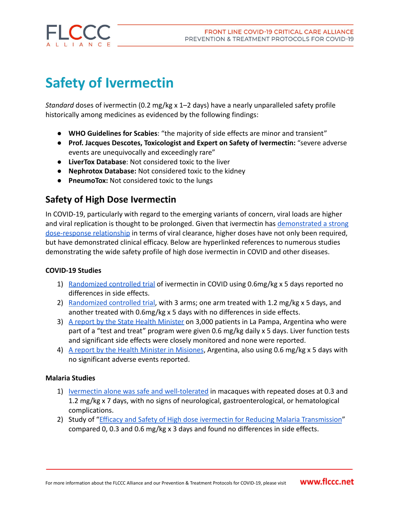

# **Safety of Ivermectin**

*Standard* doses of ivermectin (0.2 mg/kg x 1–2 days) have a nearly unparalleled safety profile historically among medicines as evidenced by the following findings:

- **WHO Guidelines for Scabies**: "the majority of side effects are minor and transient"
- **Prof. Jacques Descotes, Toxicologist and Expert on Safety of Ivermectin:** "severe adverse events are unequivocally and exceedingly rare"
- **LiverTox Database**: Not considered toxic to the liver
- **Nephrotox Database:** Not considered toxic to the kidney
- **PneumoTox:** Not considered toxic to the lungs

# **Safety of High Dose Ivermectin**

In COVID-19, particularly with regard to the emerging variants of concern, viral loads are higher and viral replication is thought to be prolonged. Given that ivermectin has [demonstrated a strong](https://academic.oup.com/ofid/advance-article/doi/10.1093/ofid/ofab358/6316214) [dose-response relationship](https://academic.oup.com/ofid/advance-article/doi/10.1093/ofid/ofab358/6316214) in terms of viral clearance, higher doses have not only been required, but have demonstrated clinical efficacy. Below are hyperlinked references to numerous studies demonstrating the wide safety profile of high dose ivermectin in COVID and other diseases.

# **COVID-19 Studies**

- 1) [Randomized controlled trial](https://www.thelancet.com/journals/eclinm/article/PIIS2589-5370(21)00239-X/fulltext) of ivermectin in COVID using 0.6mg/kg x 5 days reported no differences in side effects.
- 2) [Randomized controlled trial,](https://papers.ssrn.com/sol3/papers.cfm?abstract_id=3918289) with 3 arms; one arm treated with 1.2 mg/kg x 5 days, and another treated with 0.6mg/kg x 5 days with no differences in side effects.
- 3) [A report by the State Health Minister](https://bichosdecampo.com/buenas-noticias-en-la-pampa-son-alentadores-los-resultados-preliminares-de-tratamientos-con-ivermectina-en-pacientes-con-covid-19/) on 3,000 patients in La Pampa, Argentina who were part of a "test and treat" program were given 0.6 mg/kg daily x 5 days. Liver function tests and significant side effects were closely monitored and none were reported.
- 4) [A report by the Health Minister in Misiones](http://www.pagina16.com.ar/ivermectina-brindan-resultados-parciales-de-monitoreo-en), Argentina, also using 0.6 mg/kg x 5 days with no significant adverse events reported.

## **Malaria Studies**

- 1) [Ivermectin alone was safe and well-tolerated](https://journals.asm.org/doi/pdf/10.1128/AAC.00741-20) in macaques with repeated doses at 0.3 and 1.2 mg/kg x 7 days, with no signs of neurological, gastroenterological, or hematological complications.
- 2) Study of "[Efficacy and Safety of High dose ivermectin](https://www.ncbi.nlm.nih.gov/pmc/articles/PMC5133431/) for Reducing Malaria Transmission" compared 0, 0.3 and 0.6 mg/kg x 3 days and found no differences in side effects.